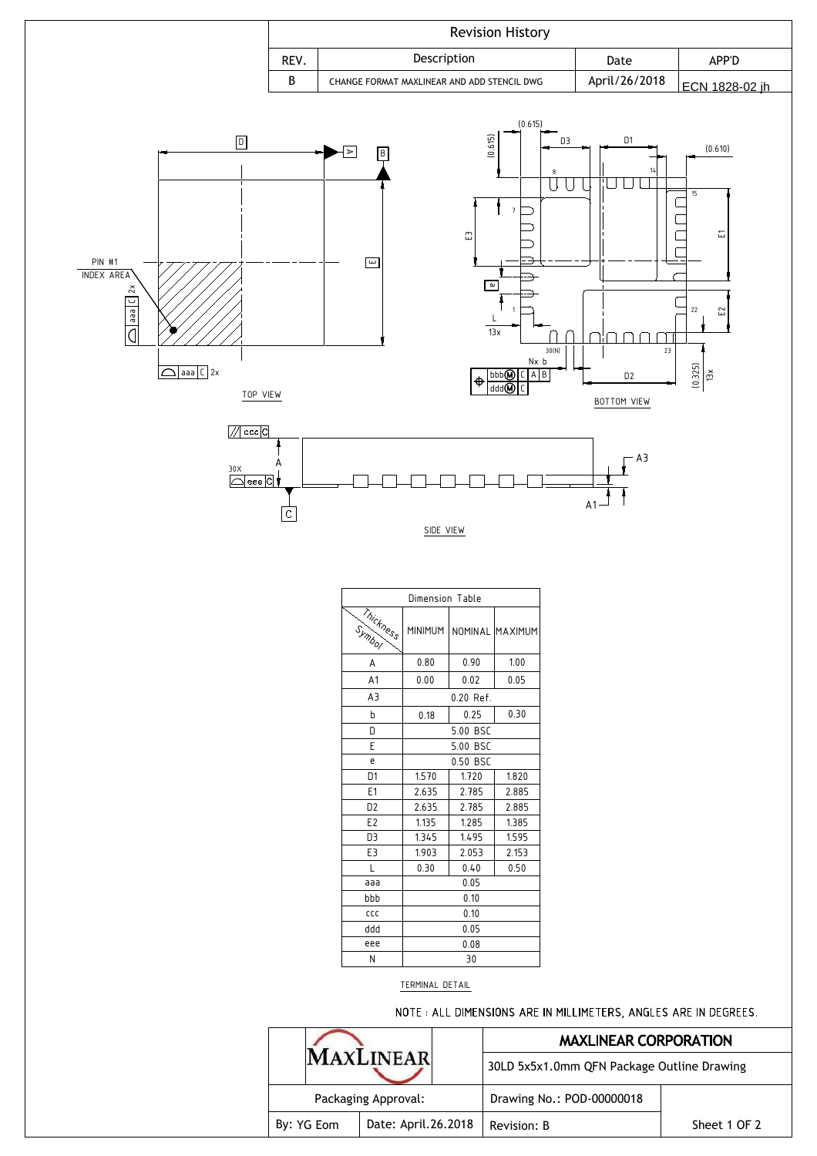

| Dimension Table |                |             |                 |  |  |  |
|-----------------|----------------|-------------|-----------------|--|--|--|
| Thickness       | <b>MINIMUM</b> |             | NOMINAL MAXIMUM |  |  |  |
| A               | 0.80           | 0.90        | 1.00            |  |  |  |
| A <sub>1</sub>  | 0.00           | 0.02        | 0.05            |  |  |  |
| A3              |                | $0.20$ Ref. |                 |  |  |  |
| b               | 0.18           | 0.25        | 0.30            |  |  |  |
| D               |                | 5.00 BSC    |                 |  |  |  |
| E               | 5.00 BSC       |             |                 |  |  |  |
| e               | 0.50 BSC       |             |                 |  |  |  |
| D <sub>1</sub>  | 1.570          | 1.720       | 1.820           |  |  |  |
| E <sub>1</sub>  | 2.635          | 2.785       | 2.885           |  |  |  |
| D <sub>2</sub>  | 2.635          | 2.785       | 2.885           |  |  |  |
| E <sub>2</sub>  | 1.135          | 1.285       | 1.385           |  |  |  |
| D3              | 1.345          | 1.495       | 1.595           |  |  |  |
| E3              | 1.903          | 2.053       | 2.153           |  |  |  |
| L               | 0.30           | 0.40        | 0.50            |  |  |  |
| aaa             | 0.05           |             |                 |  |  |  |
| bbb             | 0.10           |             |                 |  |  |  |
| CCC             |                | 0.10        |                 |  |  |  |
| bbb             | 0.05           |             |                 |  |  |  |
| eee             |                | 0.08        |                 |  |  |  |
| N               | 30             |             |                 |  |  |  |

## TERMINAL DETAIL

NOTE: ALL DIMENSIONS ARE IN MILLIMETERS, ANGLES ARE IN DEGREES.

|                     |                     | <b>MAXLINEAR CORPORATION</b>               |              |  |  |
|---------------------|---------------------|--------------------------------------------|--------------|--|--|
|                     | <b>AYLINEAR</b>     | 30LD 5x5x1.0mm QFN Package Outline Drawing |              |  |  |
| Packaging Approval: |                     | Drawing No.: POD-00000018                  |              |  |  |
| By: YG Eom          | Date: April.26.2018 | Revision: B                                | Sheet 1 OF 2 |  |  |